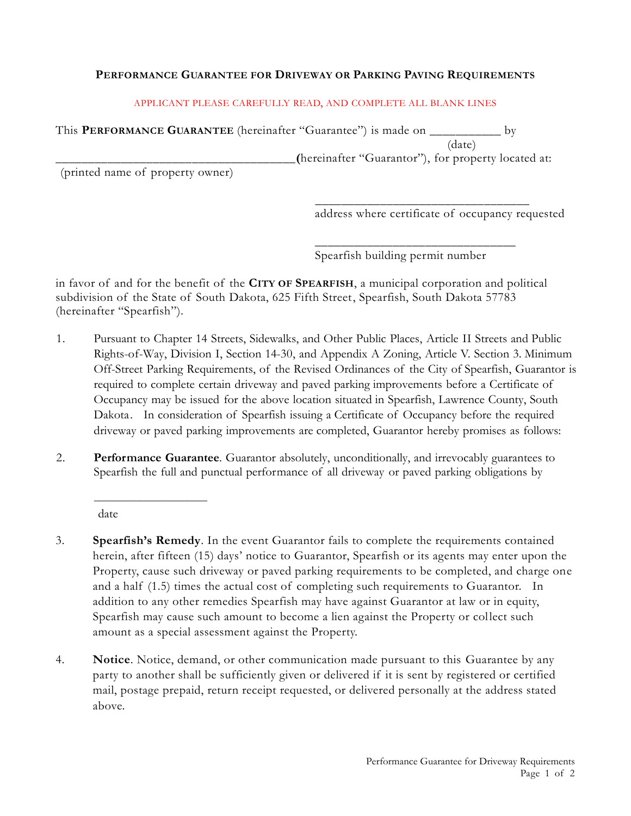## **PERFORMANCE GUARANTEE FOR DRIVEWAY OR PARKING PAVING REQUIREMENTS**

## APPLICANT PLEASE CAREFULLY READ, AND COMPLETE ALL BLANK LINES

This **PERFORMANCE GUARANTEE** (hereinafter "Guarantee") is made on \_\_\_\_\_\_\_\_\_\_\_ by

(date)

\_\_\_\_\_\_\_\_\_\_\_\_\_\_\_\_\_\_\_\_\_\_\_\_\_\_\_\_\_\_\_\_\_\_\_\_\_**(**hereinafter "Guarantor"), for property located at:

(printed name of property owner)

\_\_\_\_\_\_\_\_\_\_\_\_\_\_\_\_\_\_\_\_\_\_\_\_\_\_\_\_\_\_\_\_\_ address where certificate of occupancy requested

Spearfish building permit number

\_\_\_\_\_\_\_\_\_\_\_\_\_\_\_\_\_\_\_\_\_\_\_\_\_\_\_\_\_\_\_

in favor of and for the benefit of the **CITY OF SPEARFISH**, a municipal corporation and political subdivision of the State of South Dakota, 625 Fifth Street, Spearfish, South Dakota 57783 (hereinafter "Spearfish").

- 1. Pursuant to Chapter 14 Streets, Sidewalks, and Other Public Places, Article II Streets and Public Rights-of-Way, Division I, Section 14-30, and Appendix A Zoning, Article V. Section 3. Minimum Off-Street Parking Requirements, of the Revised Ordinances of the City of Spearfish, Guarantor is required to complete certain driveway and paved parking improvements before a Certificate of Occupancy may be issued for the above location situated in Spearfish, Lawrence County, South Dakota. In consideration of Spearfish issuing a Certificate of Occupancy before the required driveway or paved parking improvements are completed, Guarantor hereby promises as follows:
- 2. **Performance Guarantee**. Guarantor absolutely, unconditionally, and irrevocably guarantees to Spearfish the full and punctual performance of all driveway or paved parking obligations by

date

 $\overline{\phantom{a}}$  , where  $\overline{\phantom{a}}$  , where  $\overline{\phantom{a}}$ 

- 3. **Spearfish's Remedy**. In the event Guarantor fails to complete the requirements contained herein, after fifteen (15) days' notice to Guarantor, Spearfish or its agents may enter upon the Property, cause such driveway or paved parking requirements to be completed, and charge one and a half (1.5) times the actual cost of completing such requirements to Guarantor. In addition to any other remedies Spearfish may have against Guarantor at law or in equity, Spearfish may cause such amount to become a lien against the Property or collect such amount as a special assessment against the Property.
- 4. **Notice**. Notice, demand, or other communication made pursuant to this Guarantee by any party to another shall be sufficiently given or delivered if it is sent by registered or certified mail, postage prepaid, return receipt requested, or delivered personally at the address stated above.